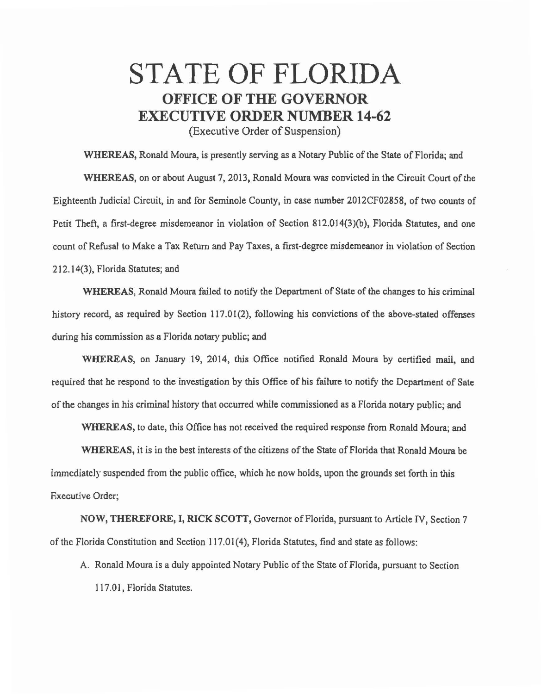## STATE OF FLORIDA OFFICE OF THE GOVERNOR EXECUTIVE ORDER NUMBER 14-62

(Executive Order of Suspension)

WHEREAS, Ronald Moura, is presently serving as a Notary Public of the State of Florida; and WHEREAS, on or about August 7, 2013, Ronald Moura was convicted in the Circuit Court of the Eighteenth Judicial Circuit, in and for Seminole County, in case number 2012CF02858, of two counts of Petit Theft, a first-degree misdemeanor in violation of Section 812.014(3)(b), Florida Statutes, and one count of Refusal to Make a Tax Return and Pay Taxes, a first-degree misdemeanor in violation of Section 212.14(3), Florida Statutes; and

WHEREAS, Ronald Moura failed to notify the Department of State of the changes to his criminal history record, as required by Section 117.01(2), following his convictions of the above-stated offenses during his commission as a Florida notary public; and

WHEREAS, on January 19, 2014, this Office notified Ronald Moura by certified mail, and required that he respond to the investigation by this Office of his failure to notify the Department of Sate of the changes in his criminal history that occurred while commissioned as a Florida notary public; and

WHEREAS, to date, this Office has not received the required response from Ronald Moura; and

WHEREAS, it is in the best interests of the citizens of the State of Florida that Ronald Moura be immediately suspended from the public office, which he now holds, upon the grounds set forth in this Executive Order;

NOW, THEREFORE, I, RICK SCOTT, Governor of Florida, pursuant to Article IV, Section 7 of the Florida Constitution and Section 117.01(4), Florida Statutes, find and state as follows:

A. Ronald Moura is a duly appointed Notary Public of the State of Florida, pursuant to Section 117.01, Florida Statutes.